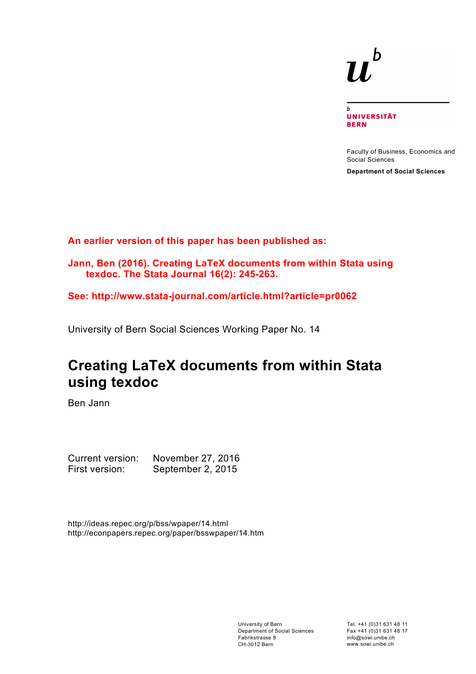# $\mathbf b$

 $\mathbf b$ **UNIVERSITÄT BERN** 

Faculty of Business, Economics and Social Sciences

**Department of Social Sciences**

**An earlier version of this paper has been published as:** 

**Jann, Ben (2016). Creating LaTeX documents from within Stata using texdoc. The Stata Journal 16(2): 245-263.**

**See: http://www.stata-journal.com/article.html?article=pr0062**

University of Bern Social Sciences Working Paper No. 14

# **Creating LaTeX documents from within Stata using texdoc**

Ben Jann

Current version: November 27, 2016 First version: September 2, 2015

http://ideas.repec.org/p/bss/wpaper/14.html http://econpapers.repec.org/paper/bsswpaper/14.htm

> University of Bern Department of Social Sciences Fabrikstrasse 8 CH-3012 Bern

Tel. +41 (0)31 631 48 11 Fax +41 (0)31 631 48 17 info@sowi.unibe.ch www.sowi.unibe.ch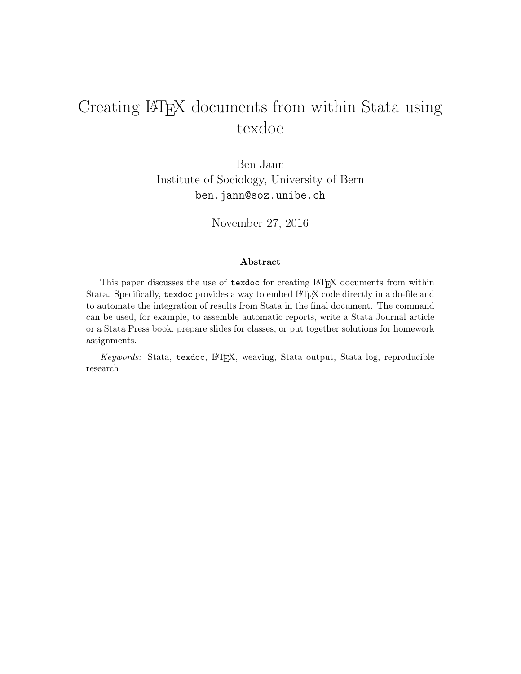# Creating LAT<sub>E</sub>X documents from within Stata using texdoc

Ben Jann Institute of Sociology, University of Bern <ben.jann@soz.unibe.ch>

November 27, 2016

#### Abstract

This paper discusses the use of texdoc for creating LATEX documents from within Stata. Specifically, texdoc provides a way to embed LATEX code directly in a do-file and to automate the integration of results from Stata in the final document. The command can be used, for example, to assemble automatic reports, write a Stata Journal article or a Stata Press book, prepare slides for classes, or put together solutions for homework assignments.

*Keywords:* Stata, texdoc, LATEX, weaving, Stata output, Stata log, reproducible research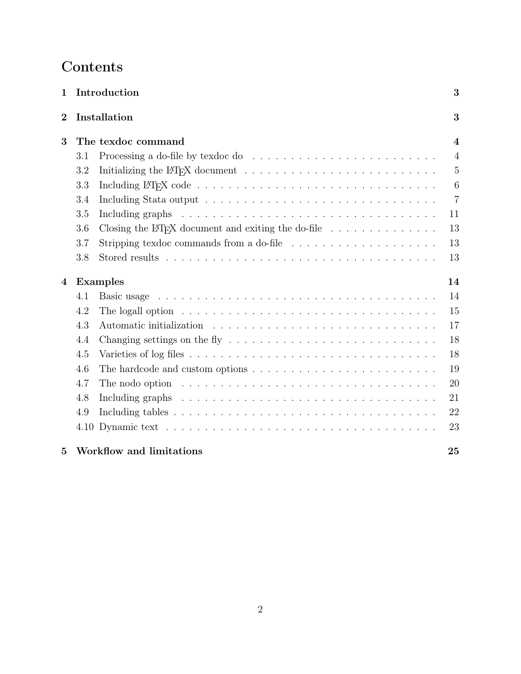# Contents

| $\mathbf 1$    |     | Introduction                                                                                                                                                                                                                   | 3              |
|----------------|-----|--------------------------------------------------------------------------------------------------------------------------------------------------------------------------------------------------------------------------------|----------------|
| $\overline{2}$ |     | Installation                                                                                                                                                                                                                   | 3              |
| 3              |     | The texdoc command                                                                                                                                                                                                             | $\overline{4}$ |
|                | 3.1 |                                                                                                                                                                                                                                | $\overline{4}$ |
|                | 3.2 |                                                                                                                                                                                                                                | $\overline{5}$ |
|                | 3.3 |                                                                                                                                                                                                                                | $\overline{6}$ |
|                | 3.4 |                                                                                                                                                                                                                                | $\overline{7}$ |
|                | 3.5 | Including graphs $\ldots \ldots \ldots \ldots \ldots \ldots \ldots \ldots \ldots \ldots \ldots$                                                                                                                                | 11             |
|                | 3.6 | Closing the L <sup>4</sup> T <sub>F</sub> X document and exiting the do-file $\ldots \ldots \ldots \ldots$                                                                                                                     | 13             |
|                | 3.7 | Stripping texdoc commands from a do-file $\ldots \ldots \ldots \ldots \ldots \ldots$                                                                                                                                           | 13             |
|                | 3.8 |                                                                                                                                                                                                                                | 13             |
| 4              |     | <b>Examples</b>                                                                                                                                                                                                                | 14             |
|                | 4.1 |                                                                                                                                                                                                                                | 14             |
|                | 4.2 | The logall option $\ldots \ldots \ldots \ldots \ldots \ldots \ldots \ldots \ldots \ldots \ldots$                                                                                                                               | 15             |
|                | 4.3 | Automatic initialization enterpresent resonance in the set of the set of the set of the set of the set of the set of the set of the set of the set of the set of the set of the set of the set of the set of the set of the se | 17             |
|                | 4.4 | Changing settings on the fly $\dots \dots \dots \dots \dots \dots \dots \dots \dots \dots \dots$                                                                                                                               | 18             |
|                | 4.5 |                                                                                                                                                                                                                                | 18             |
|                | 4.6 | The hardcode and custom options $\dots \dots \dots \dots \dots \dots \dots \dots \dots \dots$                                                                                                                                  | 19             |
|                | 4.7 | The nodo option $\ldots \ldots \ldots \ldots \ldots \ldots \ldots \ldots \ldots \ldots \ldots$                                                                                                                                 | 20             |
|                | 4.8 |                                                                                                                                                                                                                                | 21             |
|                | 4.9 |                                                                                                                                                                                                                                | 22             |
|                |     |                                                                                                                                                                                                                                | 23             |
| 5              |     | Workflow and limitations                                                                                                                                                                                                       | 25             |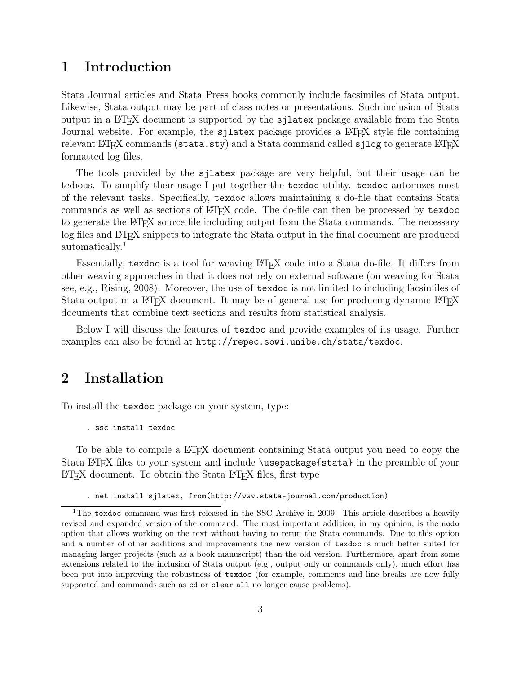## <span id="page-3-0"></span>1 Introduction

Stata Journal articles and Stata Press books commonly include facsimiles of Stata output. Likewise, Stata output may be part of class notes or presentations. Such inclusion of Stata output in a LATEX document is supported by the sjlatex package available from the Stata Journal website. For example, the **s**jlatex package provides a LAT<sub>EX</sub> style file containing relevant LAT<sub>E</sub>X commands (stata.sty) and a Stata command called sjlog to generate LAT<sub>E</sub>X formatted log files.

The tools provided by the sjlatex package are very helpful, but their usage can be tedious. To simplify their usage I put together the texdoc utility. texdoc automizes most of the relevant tasks. Specifically, texdoc allows maintaining a do-file that contains Stata commands as well as sections of LATEX code. The do-file can then be processed by texdoc to generate the LATEX source file including output from the Stata commands. The necessary log files and LAT<sub>E</sub>X snippets to integrate the Stata output in the final document are produced automatically.[1](#page-3-2)

Essentially, texdoc is a tool for weaving LAT<sub>EX</sub> code into a Stata do-file. It differs from other weaving approaches in that it does not rely on external software (on weaving for Stata see, e.g., [Rising, 2008\)](#page-26-0). Moreover, the use of texdoc is not limited to including facsimiles of Stata output in a LATEX document. It may be of general use for producing dynamic LATEX documents that combine text sections and results from statistical analysis.

Below I will discuss the features of texdoc and provide examples of its usage. Further examples can also be found at <http://repec.sowi.unibe.ch/stata/texdoc>.

## <span id="page-3-1"></span>2 Installation

To install the texdoc package on your system, type:

. ssc install texdoc

To be able to compile a LATEX document containing Stata output you need to copy the Stata LATEX files to your system and include \usepackage{stata} in the preamble of your LATEX document. To obtain the Stata LATEX files, first type

. net install sjlatex, from(http://www.stata-journal.com/production)

<span id="page-3-2"></span><sup>&</sup>lt;sup>1</sup>The texdoc command was first released in the SSC Archive in 2009. This article describes a heavily revised and expanded version of the command. The most important addition, in my opinion, is the nodo option that allows working on the text without having to rerun the Stata commands. Due to this option and a number of other additions and improvements the new version of texdoc is much better suited for managing larger projects (such as a book manuscript) than the old version. Furthermore, apart from some extensions related to the inclusion of Stata output (e.g., output only or commands only), much effort has been put into improving the robustness of texdoc (for example, comments and line breaks are now fully supported and commands such as cd or clear all no longer cause problems).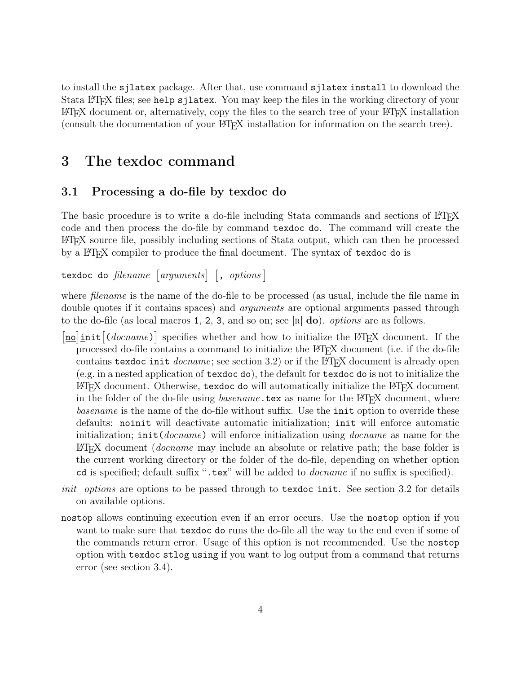to install the sjlatex package. After that, use command sjlatex install to download the Stata LATEX files; see help sjlatex. You may keep the files in the working directory of your LATEX document or, alternatively, copy the files to the search tree of your LATEX installation (consult the documentation of your LATEX installation for information on the search tree).

### <span id="page-4-0"></span>3 The texdoc command

#### <span id="page-4-1"></span>3.1 Processing a do-file by texdoc do

The basic procedure is to write a do-file including Stata commands and sections of LATEX code and then process the do-file by command texdoc do. The command will create the LATEX source file, possibly including sections of Stata output, which can then be processed by a LAT<sub>E</sub>X compiler to produce the final document. The syntax of texdoc do is

 $\texttt{texdc} \texttt{ do } \textit{filename } \textcolor{red}{\big[\textit{arguments}\big]} \textcolor{black}{\big[\textcolor{red}{, \textit{ options}}\big]}$ 

where *filename* is the name of the do-file to be processed (as usual, include the file name in double quotes if it contains spaces) and *arguments* are optional arguments passed through to the do-file (as local macros 1, 2, 3, and so on; see [R] do). *options* are as follows.

- [no]init<sup>[(docname)]</sup> specifies whether and how to initialize the L<sup>AT</sup>EX document. If the processed do-file contains a command to initialize the LATEX document (i.e. if the do-file contains texdoc init *docname*; see section [3.2\)](#page-5-0) or if the LAT<sub>EX</sub> document is already open (e.g. in a nested application of texdoc do), the default for texdoc do is not to initialize the LATEX document. Otherwise,  $t$ exdoc do will automatically initialize the LATEX document in the folder of the do-file using *basename*.tex as name for the L<sup>A</sup>T<sub>E</sub>X document, where *basename* is the name of the do-file without suffix. Use the init option to override these defaults: noinit will deactivate automatic initialization; init will enforce automatic initialization; init(*docname*) will enforce initialization using *docname* as name for the LATEX document (*docname* may include an absolute or relative path; the base folder is the current working directory or the folder of the do-file, depending on whether option cd is specified; default suffix ".tex" will be added to *docname* if no suffix is specified).
- *init options* are options to be passed through to texdoc init. See section [3.2](#page-5-0) for details on available options.
- nostop allows continuing execution even if an error occurs. Use the nostop option if you want to make sure that texdoc do runs the do-file all the way to the end even if some of the commands return error. Usage of this option is not recommended. Use the nostop option with texdoc stlog using if you want to log output from a command that returns error (see section [3.4\)](#page-7-0).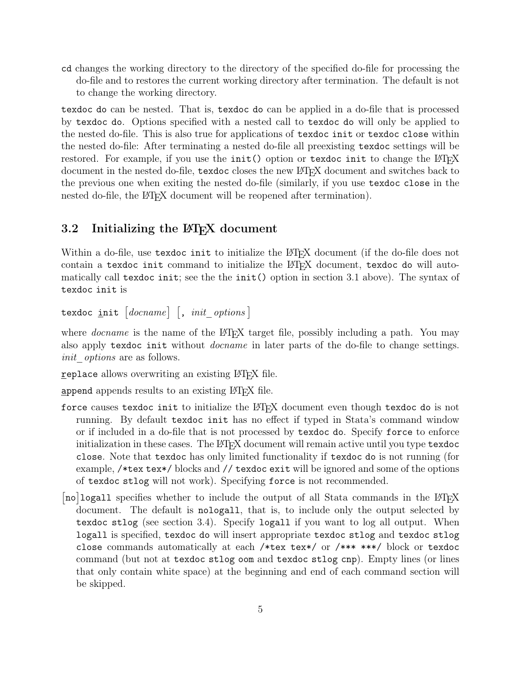cd changes the working directory to the directory of the specified do-file for processing the do-file and to restores the current working directory after termination. The default is not to change the working directory.

texdoc do can be nested. That is, texdoc do can be applied in a do-file that is processed by texdoc do. Options specified with a nested call to texdoc do will only be applied to the nested do-file. This is also true for applications of texdoc init or texdoc close within the nested do-file: After terminating a nested do-file all preexisting texdoc settings will be restored. For example, if you use the  $init()$  option or texdoc init to change the  $\mathbb{P}T\mathbb{F}X$ document in the nested do-file, texdoc closes the new LATEX document and switches back to the previous one when exiting the nested do-file (similarly, if you use texdoc close in the nested do-file, the LAT<sub>E</sub>X document will be reopened after termination).

#### <span id="page-5-0"></span>3.2 Initializing the LAT<sub>E</sub>X document

Within a do-file, use texdoc init to initialize the LAT<sub>EX</sub> document (if the do-file does not contain a texdoc init command to initialize the LATEX document, texdoc do will automatically call texdoc init; see the the init() option in section [3.1](#page-4-1) above). The syntax of texdoc init is

 $\texttt{texdc} \parallel \texttt{ion} \texttt{if} \texttt{[} \textit{do} \texttt{c} \textit{name} \texttt{] [}, \textit{init\_ options} \texttt{]}.$ 

where *docname* is the name of the LAT<sub>EX</sub> target file, possibly including a path. You may also apply texdoc init without *docname* in later parts of the do-file to change settings. *init\_options* are as follows.

replace allows overwriting an existing LATEX file.

append appends results to an existing LATEX file.

- force causes texdoc init to initialize the LATEX document even though texdoc do is not running. By default texdoc init has no effect if typed in Stata's command window or if included in a do-file that is not processed by texdoc do. Specify force to enforce initialization in these cases. The LAT<sub>E</sub>X document will remain active until you type texdoc close. Note that texdoc has only limited functionality if texdoc do is not running (for example, /\*tex tex\*/ blocks and // texdoc exit will be ignored and some of the options of texdoc stlog will not work). Specifying force is not recommended.
- [no]logall specifies whether to include the output of all Stata commands in the LATEX document. The default is nologall, that is, to include only the output selected by texdoc stlog (see section [3.4\)](#page-7-0). Specify logall if you want to log all output. When logall is specified, texdoc do will insert appropriate texdoc stlog and texdoc stlog close commands automatically at each /\*tex tex\*/ or /\*\*\* \*\*\*/ block or texdoc command (but not at texdoc stlog oom and texdoc stlog cnp). Empty lines (or lines that only contain white space) at the beginning and end of each command section will be skipped.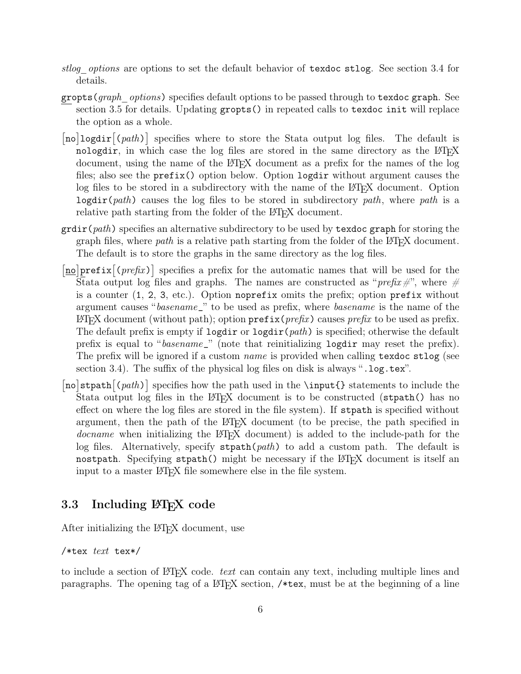- *stlog\_options* are options to set the default behavior of texdoc stlog. See section [3.4](#page-7-0) for details.
- gropts(*graph\_options*) specifies default options to be passed through to texdoc graph. See section [3.5](#page-11-0) for details. Updating gropts() in repeated calls to texdoc init will replace the option as a whole.
- [no]logdir<sup>[(path)]</sup> specifies where to store the Stata output log files. The default is nologdir, in which case the log files are stored in the same directory as the  $\angle$ FIFX document, using the name of the LATEX document as a prefix for the names of the log files; also see the prefix() option below. Option logdir without argument causes the log files to be stored in a subdirectory with the name of the LAT<sub>EX</sub> document. Option logdir(*path*) causes the log files to be stored in subdirectory *path*, where *path* is a relative path starting from the folder of the L<sup>AT</sup>EX document.
- grdir(*path*) specifies an alternative subdirectory to be used by texdoc graph for storing the graph files, where *path* is a relative path starting from the folder of the LATEX document. The default is to store the graphs in the same directory as the log files.
- $\sqrt{\frac{no}{prefix}(\text{prefix})}$  specifies a prefix for the automatic names that will be used for the Stata output log files and graphs. The names are constructed as "*prefix#*", where  $#$ is a counter (1, 2, 3, etc.). Option noprefix omits the prefix; option prefix without argument causes "*basename*\_" to be used as prefix, where *basename* is the name of the  $\Delta E$ FFX document (without path); option  $\text{prefix}(prefix)$  causes *prefix* to be used as prefix. The default prefix is empty if logdir or logdir(*path*) is specified; otherwise the default prefix is equal to "*basename*\_" (note that reinitializing logdir may reset the prefix). The prefix will be ignored if a custom *name* is provided when calling texdoc stlog (see section [3.4\)](#page-7-0). The suffix of the physical log files on disk is always ".log.tex".
- [no]stpath<sup>[(path)]</sup> specifies how the path used in the \input{} statements to include the Stata output log files in the LATEX document is to be constructed (strath() has no effect on where the log files are stored in the file system). If stpath is specified without argument, then the path of the LAT<sub>EX</sub> document (to be precise, the path specified in *docname* when initializing the LAT<sub>EX</sub> document) is added to the include-path for the log files. Alternatively, specify stpath(*path*) to add a custom path. The default is nostpath. Specifying stpath() might be necessary if the  $\mathbb{F}$ F<sub>EX</sub> document is itself an input to a master LATEX file somewhere else in the file system.

#### <span id="page-6-0"></span>3.3 Including LAT<sub>EX</sub> code

After initializing the LAT<sub>E</sub>X document, use

/\*tex *text* tex\*/

to include a section of  $\text{BTEX}$  code. *text* can contain any text, including multiple lines and paragraphs. The opening tag of a LATEX section, /\*tex, must be at the beginning of a line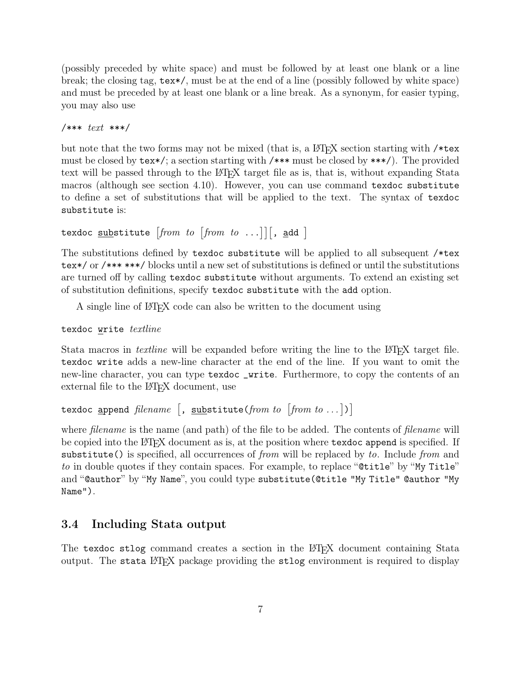(possibly preceded by white space) and must be followed by at least one blank or a line break; the closing tag, tex\*/, must be at the end of a line (possibly followed by white space) and must be preceded by at least one blank or a line break. As a synonym, for easier typing, you may also use

```
/*** text ***/
```
but note that the two forms may not be mixed (that is, a LAT<sub>EX</sub> section starting with  $/*$ must be closed by tex\*/; a section starting with /\*\*\* must be closed by \*\*\*/). The provided text will be passed through to the LAT<sub>EX</sub> target file as is, that is, without expanding Stata macros (although see section [4.10\)](#page-23-0). However, you can use command texdoc substitute to define a set of substitutions that will be applied to the text. The syntax of texdoc substitute is:

```
\texttt{text} corresponding to the set of \texttt{from } to \dots] [, add ]
```
The substitutions defined by texdoc substitute will be applied to all subsequent /\*tex tex\*/ or /\*\*\* \*\*\*/ blocks until a new set of substitutions is defined or until the substitutions are turned off by calling texdoc substitute without arguments. To extend an existing set of substitution definitions, specify texdoc substitute with the add option.

A single line of LATEX code can also be written to the document using

#### texdoc write *textline*

Stata macros in *textline* will be expanded before writing the line to the LAT<sub>EX</sub> target file. texdoc write adds a new-line character at the end of the line. If you want to omit the new-line character, you can type texdoc \_write. Furthermore, to copy the contents of an external file to the LAT<sub>EX</sub> document, use

```
texdoc <u>a</u>ppend filename [, substitute(from to [from to ...])]
```
where *filename* is the name (and path) of the file to be added. The contents of *filename* will be copied into the LATEX document as is, at the position where texdoc append is specified. If substitute() is specified, all occurrences of *from* will be replaced by *to*. Include *from* and *to* in double quotes if they contain spaces. For example, to replace "**@title**" by "My Title" and "@author" by "My Name", you could type substitute(@title "My Title" @author "My Name").

#### <span id="page-7-0"></span>3.4 Including Stata output

The texdoc stlog command creates a section in the LATEX document containing Stata output. The stata LAT<sub>E</sub>X package providing the stlog environment is required to display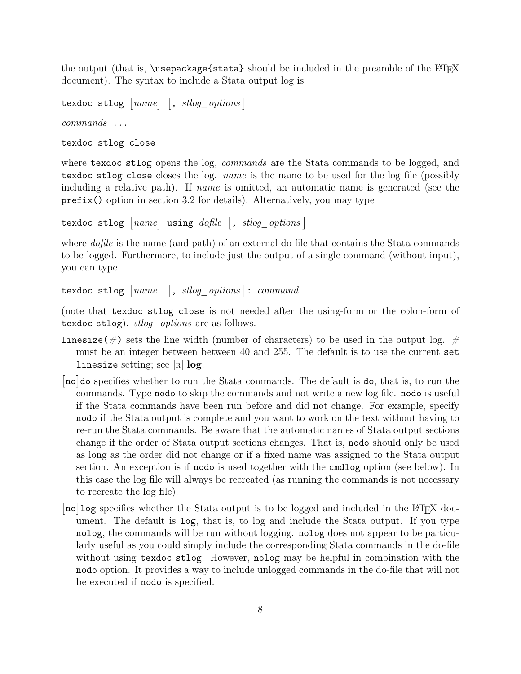the output (that is,  $\text{user}$  should be included in the preamble of the LATEX document). The syntax to include a Stata output log is

texdoc stlog  $[name]$   $[$ ,  $stlog\_options]$ *commands* ... texdoc stlog close

where texdoc stlog opens the log, *commands* are the Stata commands to be logged, and texdoc stlog close closes the log. *name* is the name to be used for the log file (possibly including a relative path). If *name* is omitted, an automatic name is generated (see the prefix() option in section [3.2](#page-5-0) for details). Alternatively, you may type

```
texdoc stlog [name] using dofile [, stlog_options]
```
where *dofile* is the name (and path) of an external do-file that contains the Stata commands to be logged. Furthermore, to include just the output of a single command (without input), you can type

```
texdoc stlog [name] [, stlog\_options]: command
```
(note that texdoc stlog close is not needed after the using-form or the colon-form of texdoc stlog). *stlog\_options* are as follows.

- linesize( $\#$ ) sets the line width (number of characters) to be used in the output log.  $\#$ must be an integer between between 40 and 255. The default is to use the current set linesize setting; see [R] log.
- [no]do specifies whether to run the Stata commands. The default is do, that is, to run the commands. Type nodo to skip the commands and not write a new log file. nodo is useful if the Stata commands have been run before and did not change. For example, specify nodo if the Stata output is complete and you want to work on the text without having to re-run the Stata commands. Be aware that the automatic names of Stata output sections change if the order of Stata output sections changes. That is, nodo should only be used as long as the order did not change or if a fixed name was assigned to the Stata output section. An exception is if nodo is used together with the cmdlog option (see below). In this case the log file will always be recreated (as running the commands is not necessary to recreate the log file).
- $\left[\text{no}\right]$  log specifies whether the Stata output is to be logged and included in the LATEX document. The default is log, that is, to log and include the Stata output. If you type nolog, the commands will be run without logging. nolog does not appear to be particularly useful as you could simply include the corresponding Stata commands in the do-file without using texdoc stlog. However, nolog may be helpful in combination with the nodo option. It provides a way to include unlogged commands in the do-file that will not be executed if nodo is specified.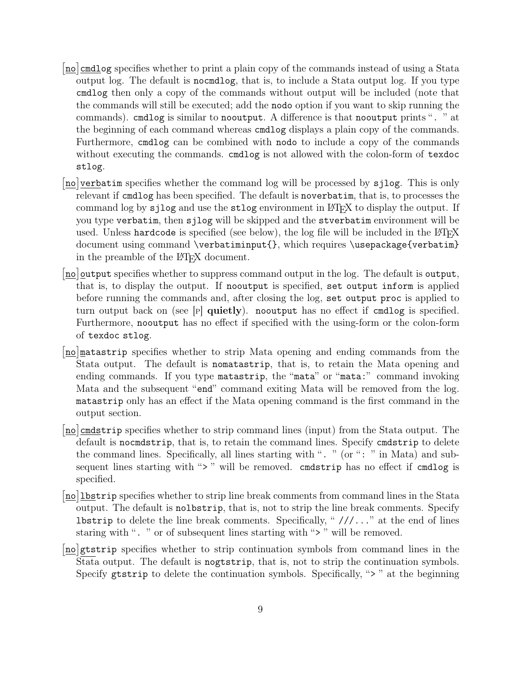- [no] cmdlog specifies whether to print a plain copy of the commands instead of using a Stata output log. The default is nocmdlog, that is, to include a Stata output log. If you type cmdlog then only a copy of the commands without output will be included (note that the commands will still be executed; add the nodo option if you want to skip running the commands). cmdlog is similar to nooutput. A difference is that nooutput prints ". " at the beginning of each command whereas cmdlog displays a plain copy of the commands. Furthermore, cmdlog can be combined with nodo to include a copy of the commands without executing the commands. cmdlog is not allowed with the colon-form of texdoc stlog.
- [no]verbatim specifies whether the command log will be processed by sjlog. This is only relevant if cmdlog has been specified. The default is noverbatim, that is, to processes the command log by sjlog and use the stlog environment in LATEX to display the output. If you type verbatim, then sjlog will be skipped and the stverbatim environment will be used. Unless hardcode is specified (see below), the log file will be included in the  $\mathbb{P}T_FX$ document using command \verbatiminput{}, which requires \usepackage{verbatim} in the preamble of the LAT<sub>EX</sub> document.
- [no] output specifies whether to suppress command output in the log. The default is output, that is, to display the output. If nooutput is specified, set output inform is applied before running the commands and, after closing the log, set output proc is applied to turn output back on (see [P] quietly). nooutput has no effect if cmdlog is specified. Furthermore, nooutput has no effect if specified with the using-form or the colon-form of texdoc stlog.
- [no]matastrip specifies whether to strip Mata opening and ending commands from the Stata output. The default is nomatastrip, that is, to retain the Mata opening and ending commands. If you type matastrip, the "mata" or "mata:" command invoking Mata and the subsequent "end" command exiting Mata will be removed from the log. matastrip only has an effect if the Mata opening command is the first command in the output section.
- [no] cmdstrip specifies whether to strip command lines (input) from the Stata output. The default is nocmdstrip, that is, to retain the command lines. Specify cmdstrip to delete the command lines. Specifically, all lines starting with ". " (or ": " in Mata) and subsequent lines starting with "> " will be removed. cmdstrip has no effect if cmdlog is specified.
- [no] lbstrip specifies whether to strip line break comments from command lines in the Stata output. The default is nolbstrip, that is, not to strip the line break comments. Specify **lbstrip** to delete the line break comments. Specifically, " $//...$ " at the end of lines staring with ". " or of subsequent lines starting with "> " will be removed.
- [no]gtstrip specifies whether to strip continuation symbols from command lines in the Stata output. The default is nogtstrip, that is, not to strip the continuation symbols. Specify gtstrip to delete the continuation symbols. Specifically, ">" at the beginning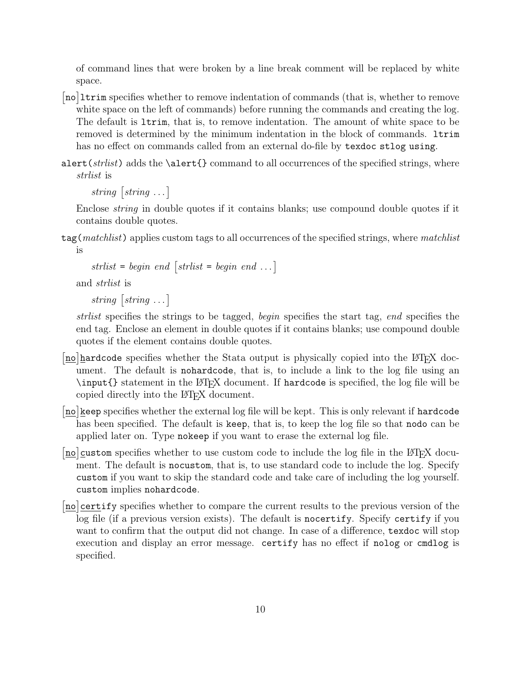of command lines that were broken by a line break comment will be replaced by white space.

- [no]1trim specifies whether to remove indentation of commands (that is, whether to remove white space on the left of commands) before running the commands and creating the log. The default is ltrim, that is, to remove indentation. The amount of white space to be removed is determined by the minimum indentation in the block of commands. ltrim has no effect on commands called from an external do-file by texdoc stlog using.
- alert(*strlist*) adds the \alert{} command to all occurrences of the specified strings, where *strlist* is

 $string \sim$   $[string \ldots]$ 

Enclose *string* in double quotes if it contains blanks; use compound double quotes if it contains double quotes.

tag(*matchlist*) applies custom tags to all occurrences of the specified strings, where *matchlist* is

```
strlist = begin \text{ } end \text{ } [strlist = begin \text{ } end \text{ } ...]
```
and *strlist* is

```
string \sim [string \dots]
```
*strlist* specifies the strings to be tagged, *begin* specifies the start tag, *end* specifies the end tag. Enclose an element in double quotes if it contains blanks; use compound double quotes if the element contains double quotes.

- [no] hardcode specifies whether the Stata output is physically copied into the LHEX document. The default is nohardcode, that is, to include a link to the log file using an  $\infty$  statement in the LATEX document. If hardcode is specified, the log file will be copied directly into the LATEX document.
- [no] keep specifies whether the external log file will be kept. This is only relevant if hardcode has been specified. The default is keep, that is, to keep the log file so that nodo can be applied later on. Type nokeep if you want to erase the external log file.
- [no] custom specifies whether to use custom code to include the log file in the LATEX document. The default is nocustom, that is, to use standard code to include the log. Specify custom if you want to skip the standard code and take care of including the log yourself. custom implies nohardcode.
- [no] certify specifies whether to compare the current results to the previous version of the log file (if a previous version exists). The default is nocertify. Specify certify if you want to confirm that the output did not change. In case of a difference, texdoc will stop execution and display an error message. certify has no effect if nolog or cmdlog is specified.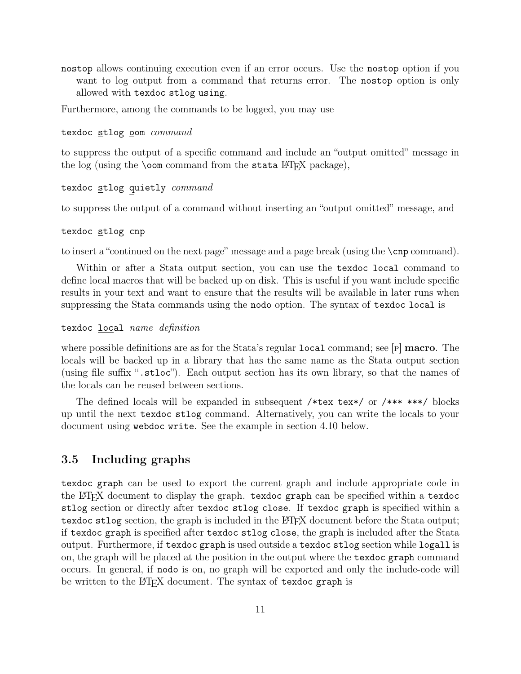nostop allows continuing execution even if an error occurs. Use the nostop option if you want to log output from a command that returns error. The nostop option is only allowed with texdoc stlog using.

Furthermore, among the commands to be logged, you may use

#### texdoc stlog oom *command*

to suppress the output of a specific command and include an "output omitted" message in the log (using the  $\text{comm}$  command from the stata LAT<sub>EX</sub> package),

#### texdoc stlog quietly *command*

to suppress the output of a command without inserting an "output omitted" message, and

#### texdoc stlog cnp

to insert a "continued on the next page" message and a page break (using the \cnp command).

Within or after a Stata output section, you can use the texdoc local command to define local macros that will be backed up on disk. This is useful if you want include specific results in your text and want to ensure that the results will be available in later runs when suppressing the Stata commands using the nodo option. The syntax of texdoc local is

texdoc local *name definition*

where possible definitions are as for the Stata's regular  $local$  command; see  $|P|$  macro. The locals will be backed up in a library that has the same name as the Stata output section (using file suffix ".stloc"). Each output section has its own library, so that the names of the locals can be reused between sections.

The defined locals will be expanded in subsequent /\*tex tex\*/ or /\*\*\* \*\*\*/ blocks up until the next texdoc stlog command. Alternatively, you can write the locals to your document using webdoc write. See the example in section [4.10](#page-23-0) below.

#### <span id="page-11-0"></span>3.5 Including graphs

texdoc graph can be used to export the current graph and include appropriate code in the LATEX document to display the graph. texdoc graph can be specified within a texdoc stlog section or directly after texdoc stlog close. If texdoc graph is specified within a texdoc stlog section, the graph is included in the LAT<sub>EX</sub> document before the Stata output; if texdoc graph is specified after texdoc stlog close, the graph is included after the Stata output. Furthermore, if texdoc graph is used outside a texdoc stlog section while logall is on, the graph will be placed at the position in the output where the texdoc graph command occurs. In general, if nodo is on, no graph will be exported and only the include-code will be written to the LAT<sub>EX</sub> document. The syntax of texdoc graph is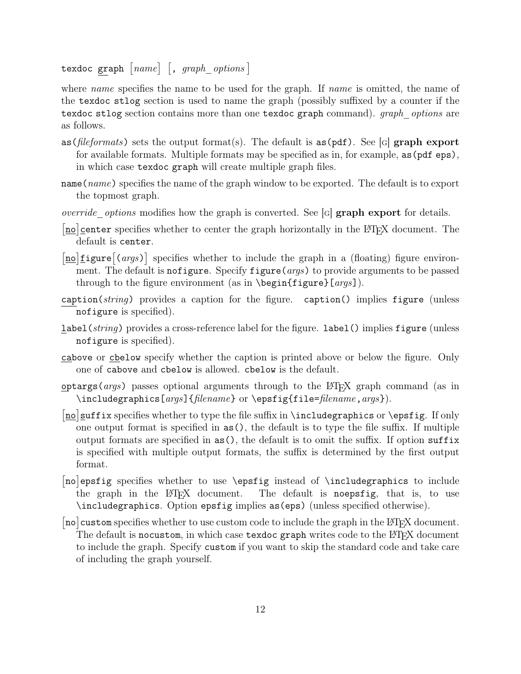texdoc graph  $[name]$   $[,$   $graph\_options$ 

where *name* specifies the name to be used for the graph. If *name* is omitted, the name of the texdoc stlog section is used to name the graph (possibly suffixed by a counter if the texdoc stlog section contains more than one texdoc graph command). *graph\_options* are as follows.

- as (*fileformats*) sets the output format(s). The default is as (pdf). See [G] graph export for available formats. Multiple formats may be specified as in, for example, as(pdf eps), in which case texdoc graph will create multiple graph files.
- name(*name*) specifies the name of the graph window to be exported. The default is to export the topmost graph.
- *override options* modifies how the graph is converted. See [G] **graph export** for details.
- [no] center specifies whether to center the graph horizontally in the LATEX document. The default is center.
- [no] figure  $\left[\frac{1}{\text{no}}\right]$  specifies whether to include the graph in a (floating) figure environment. The default is nofigure. Specify figure(*args*) to provide arguments to be passed through to the figure environment (as in \begin{figure}[*args*]).
- caption(*string*) provides a caption for the figure. caption() implies figure (unless nofigure is specified).
- label(*string*) provides a cross-reference label for the figure. label() implies figure (unless nofigure is specified).
- cabove or cbelow specify whether the caption is printed above or below the figure. Only one of cabove and cbelow is allowed. cbelow is the default.
- optargs(*args*) passes optional arguments through to the LATEX graph command (as in \includegraphics[*args*]{*filename*} or \epsfig{file=*filename*,*args*}).
- [no] suffix specifies whether to type the file suffix in \includegraphics or \epsfig. If only one output format is specified in as(), the default is to type the file suffix. If multiple output formats are specified in as(), the default is to omit the suffix. If option suffix is specified with multiple output formats, the suffix is determined by the first output format.
- [no]epsfig specifies whether to use \epsfig instead of \includegraphics to include the graph in the LAT<sub>EX</sub> document. The default is noeps fig, that is, to use \includegraphics. Option epsfig implies as(eps) (unless specified otherwise).
- $\left[\text{no}\right]$  custom specifies whether to use custom code to include the graph in the LATEX document. The default is nocustom, in which case texdoc graph writes code to the LATEX document to include the graph. Specify custom if you want to skip the standard code and take care of including the graph yourself.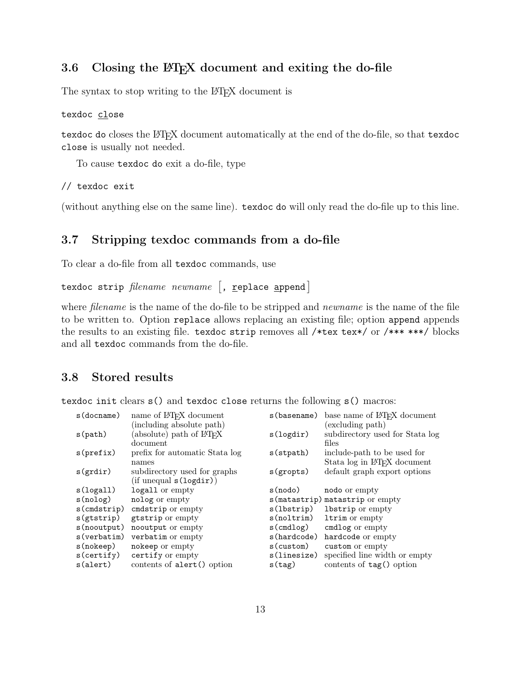#### <span id="page-13-0"></span>3.6 Closing the LAT<sub>E</sub>X document and exiting the do-file

The syntax to stop writing to the LAT<sub>EX</sub> document is

#### texdoc close

texdoc do closes the LAT<sub>E</sub>X document automatically at the end of the do-file, so that texdoc close is usually not needed.

To cause texdoc do exit a do-file, type

// texdoc exit

(without anything else on the same line). texdoc do will only read the do-file up to this line.

#### <span id="page-13-1"></span>3.7 Stripping texdoc commands from a do-file

To clear a do-file from all texdoc commands, use

texdoc strip *filename newname*  $\lceil$ , <u>r</u>eplace **append**  $\rceil$ 

where *filename* is the name of the do-file to be stripped and *newname* is the name of the file to be written to. Option replace allows replacing an existing file; option append appends the results to an existing file. texdoc strip removes all /\*tex tex\*/ or /\*\*\* \*\*\*/ blocks and all texdoc commands from the do-file.

#### <span id="page-13-2"></span>3.8 Stored results

texdoc init clears s() and texdoc close returns the following s() macros:

| $s$ (docname)  | name of LAT <sub>F</sub> X document  | s (basename) | base name of LAT <sub>F</sub> X document |
|----------------|--------------------------------------|--------------|------------------------------------------|
|                | (including absolute path)            |              | (excluding path)                         |
| s(path)        | absolute) path of LAT <sub>F</sub> X | s(logdir)    | subdirectory used for Stata log          |
|                | document                             |              | files                                    |
| s(prefix)      | prefix for automatic Stata log       | $s$ (stpath) | include-path to be used for              |
|                | names                                |              | Stata log in IAT <sub>F</sub> X document |
| s(grdir)       | subdirectory used for graphs         | s(gropts)    | default graph export options             |
|                | (if unequal s(logdir))               |              |                                          |
| s(logall)      | logall or empty                      | s(nodo)      | nodo or empty                            |
| s(nolog)       | nolog or empty                       |              | s (matastrip) matastrip or empty         |
| $s$ (cmdstrip) | cmdstrip or empty                    | s(lbstrip)   | 1bstrip or empty                         |
| $s$ (gtstrip)  | gtstrip or empty                     | s(noltrim)   | ltrim or empty                           |
| s(nooutput)    | nooutput or empty                    | $s$ (cmdlog) | cmdlog or empty                          |
| s(verbatim)    | verbatim or empty                    | s(hardcode)  | hardcode or empty                        |
| s(nokeep)      | nokeep or empty                      | s(custom)    | custom or empty                          |
| s(certify)     | certify or empty                     | s(linesize)  | specified line width or empty            |
| s(alert)       | contents of alert() option           | s(tag)       | contents of tag() option                 |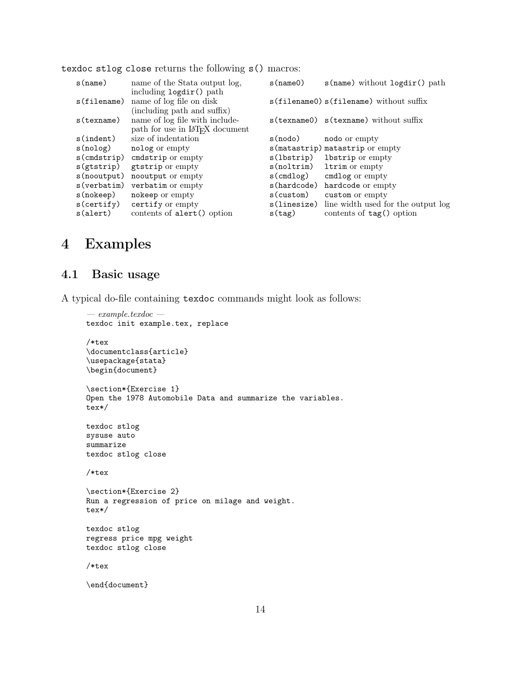texdoc stlog close returns the following s() macros:

| s(name)        | name of the State output log.               | s(name()     | $s$ (name) without $logdir()$ path            |
|----------------|---------------------------------------------|--------------|-----------------------------------------------|
|                | including logdir() path                     |              |                                               |
| $s$ (filename) | name of log file on disk                    |              | $s$ (filename0) $s$ (filename) without suffix |
|                | (including path and suffix)                 |              |                                               |
| $s$ (texname)  | name of log file with include-              |              | $s$ (texname) $s$ (texname) without suffix    |
|                | path for use in L <sup>AT</sup> FX document |              |                                               |
| $s$ (indent)   | size of indentation                         | s(nodo)      | nodo or empty                                 |
| s(nolog)       | nolog or empty                              |              | s (matastrip) matastrip or empty              |
| $s$ (cmdstrip) | cmdstrip or empty                           | s(1bstrip)   | 1bstrip or empty                              |
| $s$ (gtstrip)  | gtstrip or empty                            | s(noltrim)   | ltrim or empty                                |
| $s$ (nooutput) | nooutput or empty                           | $s$ (cmdlog) | cmdlog or empty                               |
| s(verbatim)    | verbatim or empty                           | s(hardcode)  | hardcode or empty                             |
| s(nokeep)      | nokeep or empty                             | s(custom)    | custom or empty                               |
| s(certify)     | certify or empty                            | s(linesize)  | line width used for the output log            |
| s(alert)       | contents of alert() option                  | s(tag)       | contents of tag() option                      |

# <span id="page-14-0"></span>4 Examples

#### <span id="page-14-1"></span>4.1 Basic usage

A typical do-file containing texdoc commands might look as follows:

```
— example.texdoc —
texdoc init example.tex, replace
/*tex
\documentclass{article}
\usepackage{stata}
\begin{document}
\section*{Exercise 1}
Open the 1978 Automobile Data and summarize the variables.
tex*/
texdoc stlog
sysuse auto
summarize
texdoc stlog close
/*tex
\section*{Exercise 2}
Run a regression of price on milage and weight.
tex*/
texdoc stlog
regress price mpg weight
texdoc stlog close
/*tex
\end{document}
```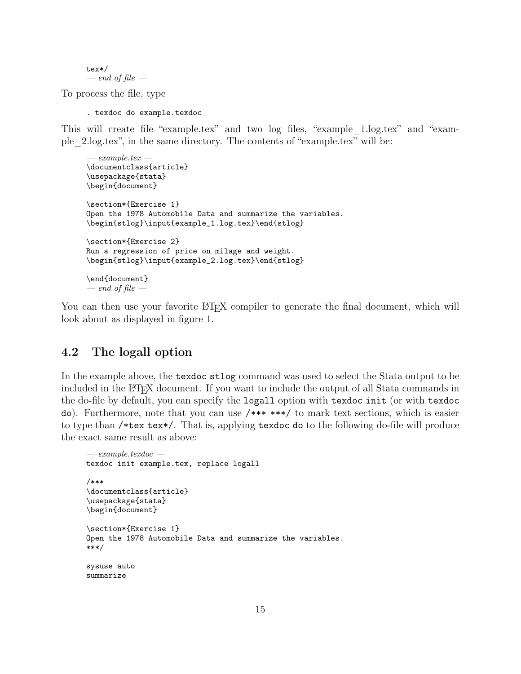tex\*/ *— end of file —*

To process the file, type

. texdoc do example.texdoc

This will create file "example.tex" and two log files, "example\_1.log.tex" and "example\_2.log.tex", in the same directory. The contents of "example.tex" will be:

```
— example.tex —
\documentclass{article}
\usepackage{stata}
\begin{document}
\section*{Exercise 1}
Open the 1978 Automobile Data and summarize the variables.
\begin{stlog}\input{example_1.log.tex}\end{stlog}
\section*{Exercise 2}
Run a regression of price on milage and weight.
\begin{stlog}\input{example_2.log.tex}\end{stlog}
\end{document}
— end of file —
```
You can then use your favorite LATEX compiler to generate the final document, which will look about as displayed in figure [1.](#page-16-0)

#### <span id="page-15-0"></span>4.2 The logall option

In the example above, the texdoc stlog command was used to select the Stata output to be included in the LAT<sub>EX</sub> document. If you want to include the output of all Stata commands in the do-file by default, you can specify the logall option with texdoc init (or with texdoc do). Furthermore, note that you can use /\*\*\* \*\*\*/ to mark text sections, which is easier to type than /\*tex tex\*/. That is, applying texdoc do to the following do-file will produce the exact same result as above:

```
— example.texdoc —
texdoc init example.tex, replace logall
/***
\documentclass{article}
\usepackage{stata}
\begin{document}
\section*{Exercise 1}
Open the 1978 Automobile Data and summarize the variables.
***/
sysuse auto
summarize
```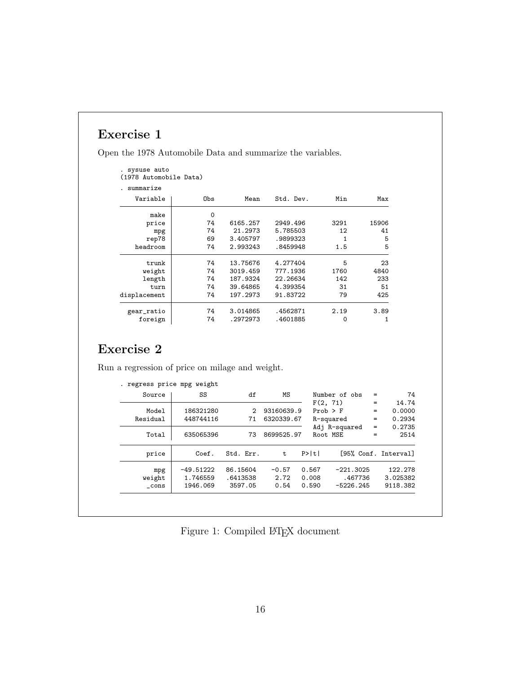# Exercise 1

Open the 1978 Automobile Data and summarize the variables.

| . sysuse auto<br>(1978 Automobile Data) |          |          |           |      |       |
|-----------------------------------------|----------|----------|-----------|------|-------|
| summarize                               |          |          |           |      |       |
| Variable                                | Obs      | Mean     | Std. Dev. | Min  | Max   |
| make                                    | $\Omega$ |          |           |      |       |
| price                                   | 74       | 6165.257 | 2949.496  | 3291 | 15906 |
| mpg                                     | 74       | 21.2973  | 5.785503  | 12   | 41    |
| rep78                                   | 69       | 3.405797 | .9899323  | 1    | 5     |
| headroom                                | 74       | 2.993243 | .8459948  | 1.5  | 5     |
| trunk                                   | 74       | 13.75676 | 4.277404  | 5    | 23    |
| weight                                  | 74       | 3019.459 | 777.1936  | 1760 | 4840  |
| length                                  | 74       | 187.9324 | 22.26634  | 142  | 233   |
| turn                                    | 74       | 39.64865 | 4.399354  | 31   | 51    |
| displacement                            | 74       | 197.2973 | 91.83722  | 79   | 425   |
| gear_ratio                              | 74       | 3.014865 | .4562871  | 2.19 | 3.89  |
| foreign                                 | 74       | .2972973 | .4601885  | 0    | 1     |

# Exercise 2

Run a regression of price on milage and weight.

| Source   | SS          | df        | ΜS         | Number of obs        | $=$ | 74                   |
|----------|-------------|-----------|------------|----------------------|-----|----------------------|
|          |             |           |            | F(2, 71)             | $=$ | 14.74                |
| Model    | 186321280   | 2         | 93160639.9 | $Prob$ > $F$         | $=$ | 0.0000               |
| Residual | 448744116   | 71        | 6320339.67 | R-squared            | $=$ | 0.2934               |
|          |             |           |            | Adj R-squared        | $=$ | 0.2735               |
| Total    | 635065396   | 73        | 8699525.97 | Root MSE             | =   | 2514                 |
| price    | Coef.       | Std. Err. | t          | P>  t                |     | [95% Conf. Interval] |
| mpg      | $-49.51222$ | 86.15604  | $-0.57$    | 0.567<br>$-221.3025$ |     | 122.278              |
| weight   | 1.746559    | .6413538  | 2.72       | 0.008<br>.467736     |     | 3.025382             |
| $\_cons$ | 1946.069    | 3597.05   | 0.54       | 0.590<br>$-5226.245$ |     | 9118.382             |

<span id="page-16-0"></span>Figure 1: Compiled  $\mathbb{B}\mathrm{T}\mathrm{E}\mathrm{X}$  document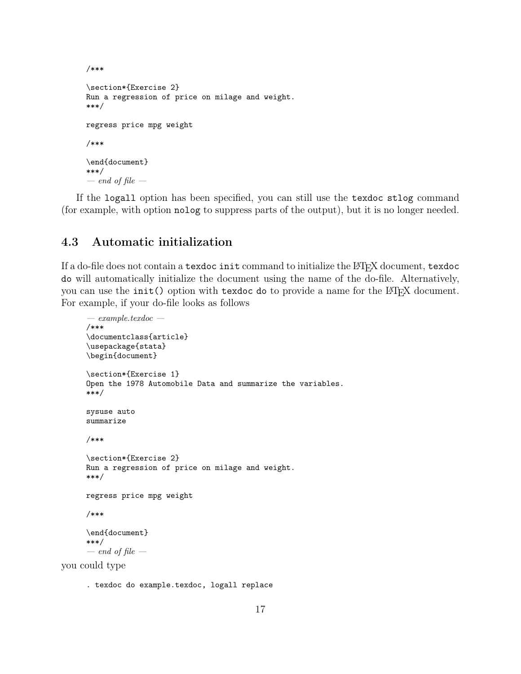```
/***
\section*{Exercise 2}
Run a regression of price on milage and weight.
***/
regress price mpg weight
/***
\end{document}
***/
— end of file —
```
If the logall option has been specified, you can still use the texdoc stlog command (for example, with option nolog to suppress parts of the output), but it is no longer needed.

#### <span id="page-17-0"></span>4.3 Automatic initialization

If a do-file does not contain a texdoc init command to initialize the LATEX document, texdoc do will automatically initialize the document using the name of the do-file. Alternatively, you can use the init() option with texdoc do to provide a name for the LAT<sub>EX</sub> document. For example, if your do-file looks as follows

```
— example.texdoc —
/***
\documentclass{article}
\usepackage{stata}
\begin{document}
\section*{Exercise 1}
Open the 1978 Automobile Data and summarize the variables.
***/
sysuse auto
summarize
/***
\section*{Exercise 2}
Run a regression of price on milage and weight.
***/
regress price mpg weight
/***
\end{document}
***/
— end of file —
```
you could type

. texdoc do example.texdoc, logall replace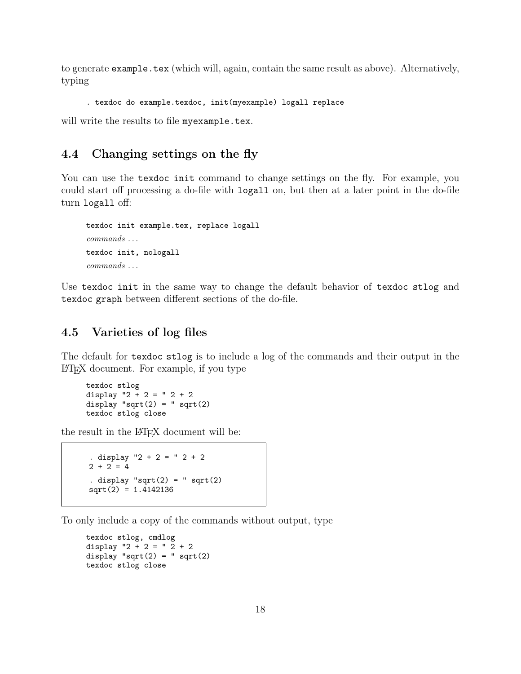to generate example.tex (which will, again, contain the same result as above). Alternatively, typing

```
. texdoc do example.texdoc, init(myexample) logall replace
```
will write the results to file myexample.tex.

#### <span id="page-18-0"></span>4.4 Changing settings on the fly

You can use the texdoc init command to change settings on the fly. For example, you could start off processing a do-file with logall on, but then at a later point in the do-file turn logall off:

```
texdoc init example.tex, replace logall
commands . . .
texdoc init, nologall
commands . . .
```
Use texdoc init in the same way to change the default behavior of texdoc stlog and texdoc graph between different sections of the do-file.

#### <span id="page-18-1"></span>4.5 Varieties of log files

The default for texdoc stlog is to include a log of the commands and their output in the LATEX document. For example, if you type

texdoc stlog display  $"2 + 2 = " 2 + 2$ display "sqrt $(2) =$ " sqrt $(2)$ texdoc stlog close

the result in the  $\cancel{B}$ F<sub>F</sub>X document will be:

```
. display "2 + 2 = " 2 + 22 + 2 = 4. display "sqrt(2) = " sqrt(2)sqrt(2) = 1.4142136
```
To only include a copy of the commands without output, type

```
texdoc stlog, cmdlog
display "2 + 2 = " 2 + 2display "sqrt(2) =" sqrt(2)texdoc stlog close
```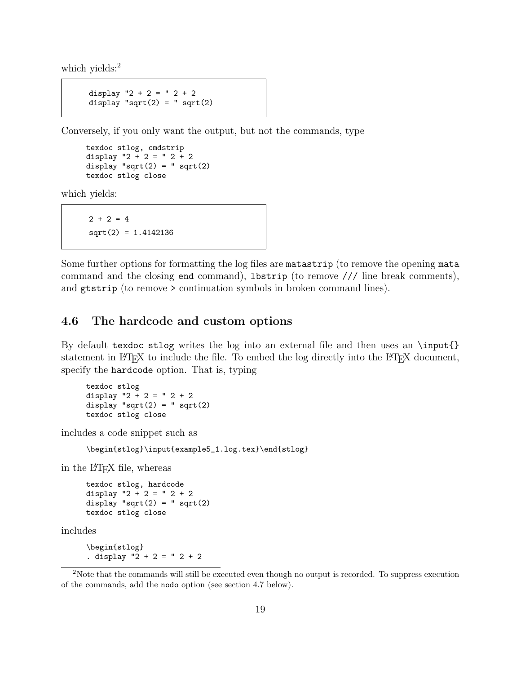which yields:<sup>[2](#page-19-1)</sup>

```
display "2 + 2 = " 2 + 2display "sqrt(2) =" sqrt(2)
```
Conversely, if you only want the output, but not the commands, type

```
texdoc stlog, cmdstrip
display "2 + 2 = "2 + 2display "sqrt(2) = " sqrt(2)texdoc stlog close
```
which yields:

 $2 + 2 = 4$ sqrt(2) = 1.4142136

Some further options for formatting the log files are matastrip (to remove the opening mata command and the closing end command), lbstrip (to remove /// line break comments), and gtstrip (to remove > continuation symbols in broken command lines).

#### <span id="page-19-0"></span>4.6 The hardcode and custom options

By default texdoc stlog writes the log into an external file and then uses an \input{} statement in LAT<sub>EX</sub> to include the file. To embed the log directly into the LAT<sub>EX</sub> document, specify the hardcode option. That is, typing

texdoc stlog display  $"2 + 2 = "2 + 2$ display " $sqrt(2) =$  " sqrt $(2)$ texdoc stlog close

includes a code snippet such as

\begin{stlog}\input{example5\_1.log.tex}\end{stlog}

in the L<sup>AT</sup>FX file, whereas

texdoc stlog, hardcode display  $"2 + 2 = "2 + 2$ display " $sqrt(2) =$  " sqrt $(2)$ texdoc stlog close

includes

\begin{stlog} . display  $"2 + 2 = " 2 + 2$ 

<span id="page-19-1"></span><sup>2</sup>Note that the commands will still be executed even though no output is recorded. To suppress execution of the commands, add the nodo option (see section [4.7](#page-20-0) below).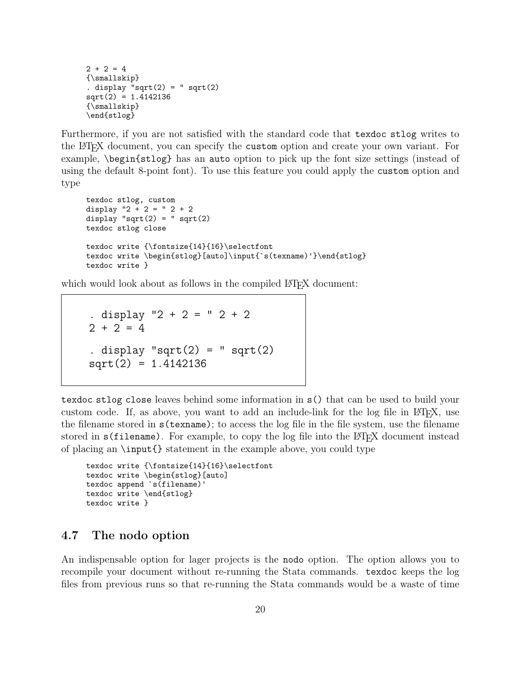```
2 + 2 = 4{\smallskip}
. display "sqrt(2) = " sqrt(2)sqrt(2) = 1.4142136{\smallskip}
\end{stlog}
```
Furthermore, if you are not satisfied with the standard code that texdoc stlog writes to the LATEX document, you can specify the custom option and create your own variant. For example, \begin{stlog} has an auto option to pick up the font size settings (instead of using the default 8-point font). To use this feature you could apply the custom option and type

```
texdoc stlog, custom
display "2 + 2 = "2 + 2display "sqrt(2) = " sqrt(2)texdoc stlog close
texdoc write {\mathsf 14}{16}\searrowtexdoc write \begin{stlog}[auto]\input{`s(texname)'}\end{stlog}
texdoc write }
```
which would look about as follows in the compiled LAT<sub>EX</sub> document:

. display "2 + 2 = " 2 + 2  $2 + 2 = 4$ . display " $sqrt(2) =$  " sqrt $(2)$  $sqrt(2) = 1.4142136$ 

texdoc stlog close leaves behind some information in s() that can be used to build your custom code. If, as above, you want to add an include-link for the log file in LATEX, use the filename stored in s(texname); to access the log file in the file system, use the filename stored in s(filename). For example, to copy the log file into the LAT<sub>EX</sub> document instead of placing an \input{} statement in the example above, you could type

```
texdoc write {\fontsize{14}{16}\selectfont
texdoc write \begin{stlog}[auto]
texdoc append `s(filename)'
texdoc write \end{stlog}
texdoc write }
```
#### <span id="page-20-0"></span>4.7 The nodo option

An indispensable option for lager projects is the nodo option. The option allows you to recompile your document without re-running the Stata commands. texdoc keeps the log files from previous runs so that re-running the Stata commands would be a waste of time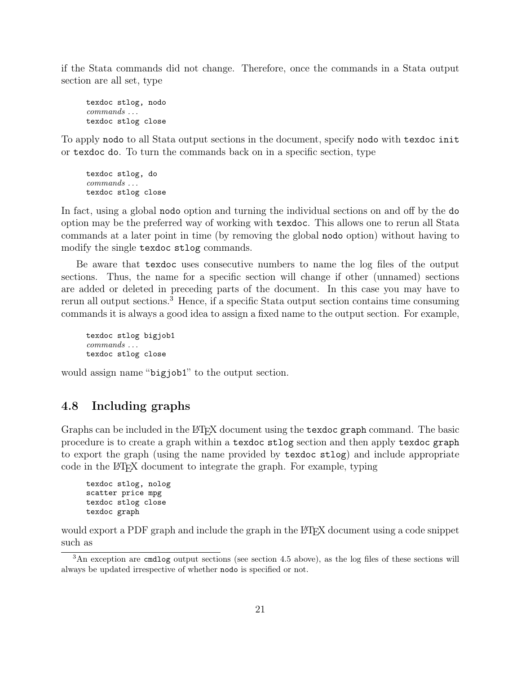if the Stata commands did not change. Therefore, once the commands in a Stata output section are all set, type

texdoc stlog, nodo *commands . . .* texdoc stlog close

To apply nodo to all Stata output sections in the document, specify nodo with texdoc init or texdoc do. To turn the commands back on in a specific section, type

texdoc stlog, do *commands . . .* texdoc stlog close

In fact, using a global nodo option and turning the individual sections on and off by the do option may be the preferred way of working with texdoc. This allows one to rerun all Stata commands at a later point in time (by removing the global nodo option) without having to modify the single texdoc stlog commands.

Be aware that texdoc uses consecutive numbers to name the log files of the output sections. Thus, the name for a specific section will change if other (unnamed) sections are added or deleted in preceding parts of the document. In this case you may have to rerun all output sections.[3](#page-21-1) Hence, if a specific Stata output section contains time consuming commands it is always a good idea to assign a fixed name to the output section. For example,

```
texdoc stlog bigjob1
commands . . .
texdoc stlog close
```
would assign name "bigjob1" to the output section.

#### <span id="page-21-0"></span>4.8 Including graphs

Graphs can be included in the LAT<sub>E</sub>X document using the texdoc graph command. The basic procedure is to create a graph within a texdoc stlog section and then apply texdoc graph to export the graph (using the name provided by texdoc stlog) and include appropriate code in the LAT<sub>EX</sub> document to integrate the graph. For example, typing

```
texdoc stlog, nolog
scatter price mpg
texdoc stlog close
texdoc graph
```
would export a PDF graph and include the graph in the LAT<sub>EX</sub> document using a code snippet such as

<span id="page-21-1"></span> $3$ An exception are cmdlog output sections (see section [4.5](#page-18-1) above), as the log files of these sections will always be updated irrespective of whether nodo is specified or not.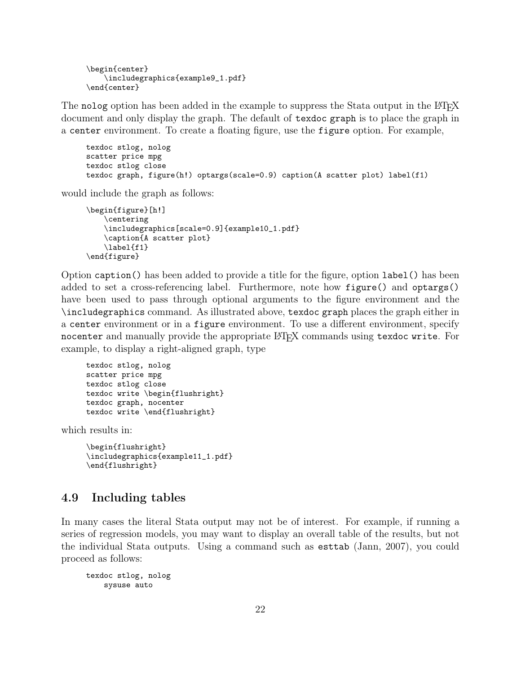```
\begin{center}
    \includegraphics{example9_1.pdf}
\end{center}
```
The nolog option has been added in the example to suppress the Stata output in the LATEX document and only display the graph. The default of texdoc graph is to place the graph in a center environment. To create a floating figure, use the figure option. For example,

```
texdoc stlog, nolog
scatter price mpg
texdoc stlog close
texdoc graph, figure(h!) optargs(scale=0.9) caption(A scatter plot) label(f1)
```
would include the graph as follows:

```
\begin{figure}[h!]
    \centering
    \includegraphics[scale=0.9]{example10_1.pdf}
    \caption{A scatter plot}
    \label{f1}
\end{figure}
```
Option caption() has been added to provide a title for the figure, option label() has been added to set a cross-referencing label. Furthermore, note how figure() and optargs() have been used to pass through optional arguments to the figure environment and the \includegraphics command. As illustrated above, texdoc graph places the graph either in a center environment or in a figure environment. To use a different environment, specify nocenter and manually provide the appropriate LAT<sub>EX</sub> commands using texdoc write. For example, to display a right-aligned graph, type

```
texdoc stlog, nolog
scatter price mpg
texdoc stlog close
texdoc write \begin{flushright}
texdoc graph, nocenter
texdoc write \end{flushright}
```
which results in:

```
\begin{flushright}
\includegraphics{example11_1.pdf}
\end{flushright}
```
#### <span id="page-22-0"></span>4.9 Including tables

In many cases the literal Stata output may not be of interest. For example, if running a series of regression models, you may want to display an overall table of the results, but not the individual Stata outputs. Using a command such as esttab [\(Jann, 2007\)](#page-26-1), you could proceed as follows:

```
texdoc stlog, nolog
    sysuse auto
```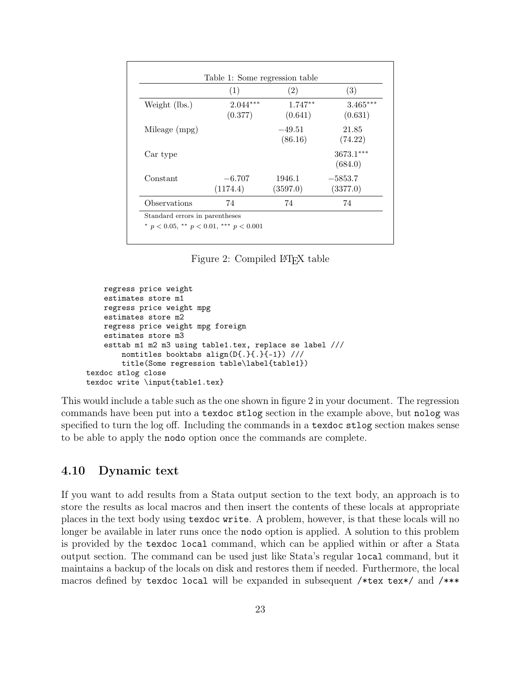|               | (1)                   | (2)                  | (3)                    |
|---------------|-----------------------|----------------------|------------------------|
| Weight (lbs.) | $2.044***$<br>(0.377) | $1.747**$<br>(0.641) | $3.465***$<br>(0.631)  |
| Mileage (mpg) |                       | $-49.51$<br>(86.16)  | 21.85<br>(74.22)       |
| Car type      |                       |                      | $3673.1***$<br>(684.0) |
| Constant      | $-6.707$<br>(1174.4)  | 1946.1<br>(3597.0)   | $-5853.7$<br>(3377.0)  |
| Observations  | 74                    | 74                   | 74                     |

<span id="page-23-1"></span>Figure 2: Compiled LAT<sub>F</sub>X table

```
regress price weight
    estimates store m1
   regress price weight mpg
    estimates store m2
   regress price weight mpg foreign
    estimates store m3
    esttab m1 m2 m3 using table1.tex, replace se label ///
        nomtitles booktabs align(D{.}{.}{-1}) ///
        title(Some regression table\label{table1})
texdoc stlog close
texdoc write \input{table1.tex}
```
This would include a table such as the one shown in figure [2](#page-23-1) in your document. The regression commands have been put into a texdoc stlog section in the example above, but nolog was specified to turn the log off. Including the commands in a texdoc stlog section makes sense to be able to apply the nodo option once the commands are complete.

#### <span id="page-23-0"></span>4.10 Dynamic text

1 output section. The command can be used just like Stata's regular local command, but it If you want to add results from a Stata output section to the text body, an approach is to store the results as local macros and then insert the contents of these locals at appropriate places in the text body using texdoc write. A problem, however, is that these locals will no longer be available in later runs once the nodo option is applied. A solution to this problem is provided by the texdoc local command, which can be applied within or after a Stata maintains a backup of the locals on disk and restores them if needed. Furthermore, the local macros defined by texdoc local will be expanded in subsequent /\*tex tex\*/ and /\*\*\*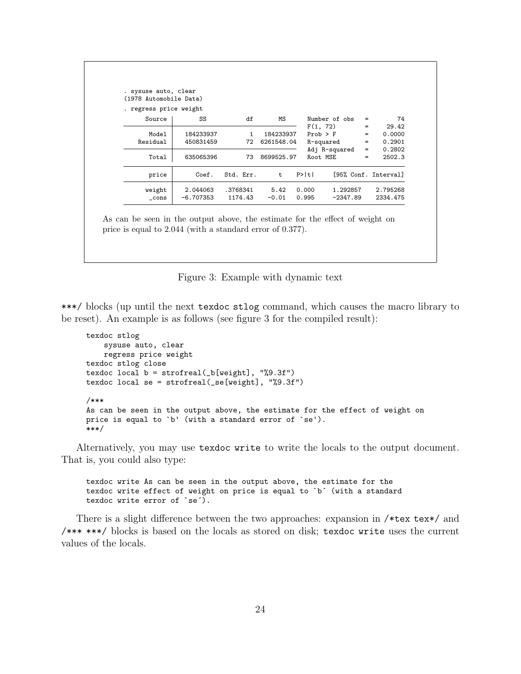| . regress price weight<br>Source | SS          | df           | ΜS         |              | Number of obs |     | 74                   |
|----------------------------------|-------------|--------------|------------|--------------|---------------|-----|----------------------|
|                                  |             |              |            | F(1, 72)     |               | $=$ | 29.42                |
| Model                            | 184233937   | $\mathbf{1}$ | 184233937  | $Prob$ > $F$ |               | $=$ | 0.0000               |
| Residual                         | 450831459   | 72           | 6261548.04 |              | R-squared     | $=$ | 0.2901               |
|                                  |             |              |            |              | Adj R-squared | $=$ | 0.2802               |
| Total                            | 635065396   | 73           | 8699525.97 | Root MSE     |               | $=$ | 2502.3               |
| price                            | Coef.       | Std. Err.    | t          | P> t         |               |     | [95% Conf. Interval] |
| weight                           | 2.044063    | .3768341     | 5.42       | 0.000        | 1.292857      |     | 2.795268             |
| $\_cons$                         | $-6.707353$ | 1174.43      | $-0.01$    | 0.995        | $-2347.89$    |     | 2334.475             |

<span id="page-24-0"></span>Figure 3: Example with dynamic text

\*\*\*/ blocks (up until the next texdoc stlog command, which causes the macro library to be reset). An example is as follows (see figure [3](#page-24-0) for the compiled result):

```
texdoc stlog
    sysuse auto, clear
    regress price weight
texdoc stlog close
texdoc local b = structreal(\_b[weight], "%9.3f")texdoc local se = strofreal(_se[weight], "%9.3f")
/***
As can be seen in the output above, the estimate for the effect of weight on
price is equal to `b' (with a standard error of `se').
***/
```
Alternatively, you may use texdoc write to write the locals to the output document. That is, you could also type:

texdoc write As can be seen in the output above, the estimate for the texdoc write effect of weight on price is equal to `b´ (with a standard texdoc write error of `se´).

There is a slight difference between the two approaches: expansion in /\*tex tex\*/ and /\*\*\* \*\*\*/ blocks is based on the locals as stored on disk; texdoc write uses the current values of the locals.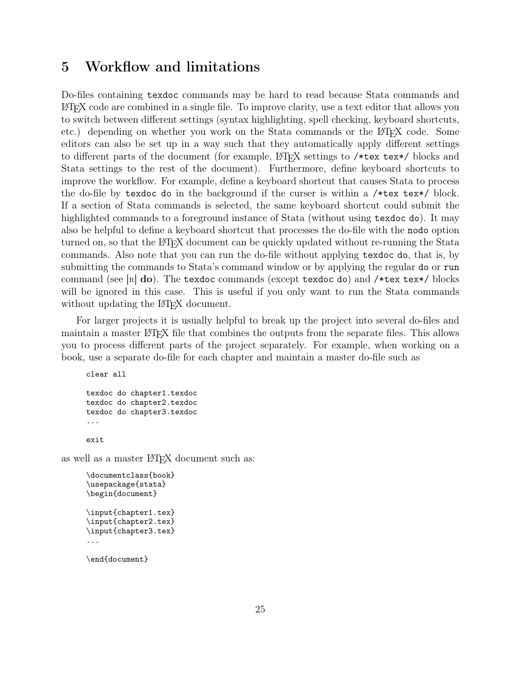## <span id="page-25-0"></span>5 Workflow and limitations

Do-files containing texdoc commands may be hard to read because Stata commands and LATEX code are combined in a single file. To improve clarity, use a text editor that allows you to switch between different settings (syntax highlighting, spell checking, keyboard shortcuts, etc.) depending on whether you work on the Stata commands or the LATEX code. Some editors can also be set up in a way such that they automatically apply different settings to different parts of the document (for example, LAT<sub>EX</sub> settings to /\*tex tex\*/ blocks and Stata settings to the rest of the document). Furthermore, define keyboard shortcuts to improve the workflow. For example, define a keyboard shortcut that causes Stata to process the do-file by texdoc do in the background if the curser is within a /\*tex tex\*/ block. If a section of Stata commands is selected, the same keyboard shortcut could submit the highlighted commands to a foreground instance of Stata (without using texdoc do). It may also be helpful to define a keyboard shortcut that processes the do-file with the nodo option turned on, so that the LATEX document can be quickly updated without re-running the Stata commands. Also note that you can run the do-file without applying texdoc do, that is, by submitting the commands to Stata's command window or by applying the regular do or run command (see  $\lceil R \rceil$  do). The texdoc commands (except texdoc do) and /\*tex tex\*/ blocks will be ignored in this case. This is useful if you only want to run the Stata commands without updating the LAT<sub>EX</sub> document.

For larger projects it is usually helpful to break up the project into several do-files and maintain a master LAT<sub>EX</sub> file that combines the outputs from the separate files. This allows you to process different parts of the project separately. For example, when working on a book, use a separate do-file for each chapter and maintain a master do-file such as

```
clear all
texdoc do chapter1.texdoc
texdoc do chapter2.texdoc
texdoc do chapter3.texdoc
...
exit
```
as well as a master LAT<sub>EX</sub> document such as:

```
\documentclass{book}
\usepackage{stata}
\begin{document}
\input{chapter1.tex}
\input{chapter2.tex}
\input{chapter3.tex}
...
```
\end{document}